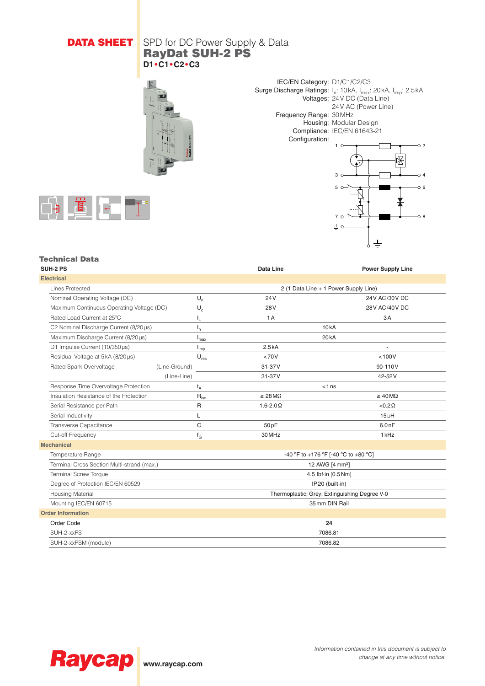## **DATA SHEET** SPD for DC Power Supply & Data RayDat SUH-2 PS **D1•C1•C2•C3**





7

ᆂ

 $\pm$ 

o a



#### Technical Data

| <b>SUH-2 PS</b>                            |                             | <b>Data Line</b>             | <b>Power Supply Line</b>                      |
|--------------------------------------------|-----------------------------|------------------------------|-----------------------------------------------|
| <b>Electrical</b>                          |                             |                              |                                               |
| Lines Protected                            |                             |                              | 2 (1 Data Line + 1 Power Supply Line)         |
| Nominal Operating Voltage (DC)             | $U_n$                       | 24V                          | 24V AC/30V DC                                 |
| Maximum Continuous Operating Voltage (DC)  | $\mathsf{U}_{\rm c}$        | 28 <sub>V</sub>              | 28V AC/40V DC                                 |
| Rated Load Current at 25°C                 | ı'                          | 1A                           | 3A                                            |
| C2 Nominal Discharge Current (8/20µs)      | ı,                          |                              | 10kA                                          |
| Maximum Discharge Current (8/20µs)         | <sup>I</sup> max            | 20 <sub>k</sub> A            |                                               |
| D1 Impulse Current (10/350us)              | I <sub>imp</sub>            | 2.5kA                        |                                               |
| Residual Voltage at 5kA (8/20µs)           | $U_{res}$                   | <70V                         | < 100V                                        |
| Rated Spark Overvoltage                    | (Line-Ground)               | 31-37V                       | 90-110V                                       |
|                                            | (Line-Line)                 | 31-37V                       | 42-52V                                        |
| Response Time Overvoltage Protection       | $t_A$                       | $< 1$ ns                     |                                               |
| Insulation Resistance of the Protection    | $\mathsf{R}_{\mathsf{iso}}$ | $\geq 28 \,\mathrm{M}\Omega$ | $\geq 40 \,\mathrm{M}\Omega$                  |
| Serial Resistance per Path                 | R                           | $1.6 - 2.0 \Omega$           | $< 0.2 \Omega$                                |
| Serial Inductivity                         | L                           |                              | $15 \mu H$                                    |
| Transverse Capacitance                     | C                           | 50pF                         | 6.0nF                                         |
| Cut-off Frequency                          | $f_G$                       | 30 MHz                       | 1 <sub>kHz</sub>                              |
| <b>Mechanical</b>                          |                             |                              |                                               |
| Temperature Range                          |                             |                              | -40 °F to +176 °F [-40 °C to +80 °C]          |
| Terminal Cross Section Multi-strand (max.) |                             |                              | 12 AWG [4 mm <sup>2</sup> ]                   |
| <b>Terminal Screw Torque</b>               |                             |                              | 4.5 lbf-in [0.5 Nm]                           |
| Degree of Protection IEC/EN 60529          |                             |                              | IP20 (built-in)                               |
| <b>Housing Material</b>                    |                             |                              | Thermoplastic; Grey; Extinguishing Degree V-0 |
| Mounting IEC/EN 60715                      |                             |                              | 35 mm DIN Rail                                |
| <b>Order Information</b>                   |                             |                              |                                               |
| Order Code                                 |                             |                              | 24                                            |
| SUH-2-xxPS                                 |                             |                              | 7086.81                                       |
| SUH-2-xxPSM (module)                       |                             |                              | 7086.82                                       |